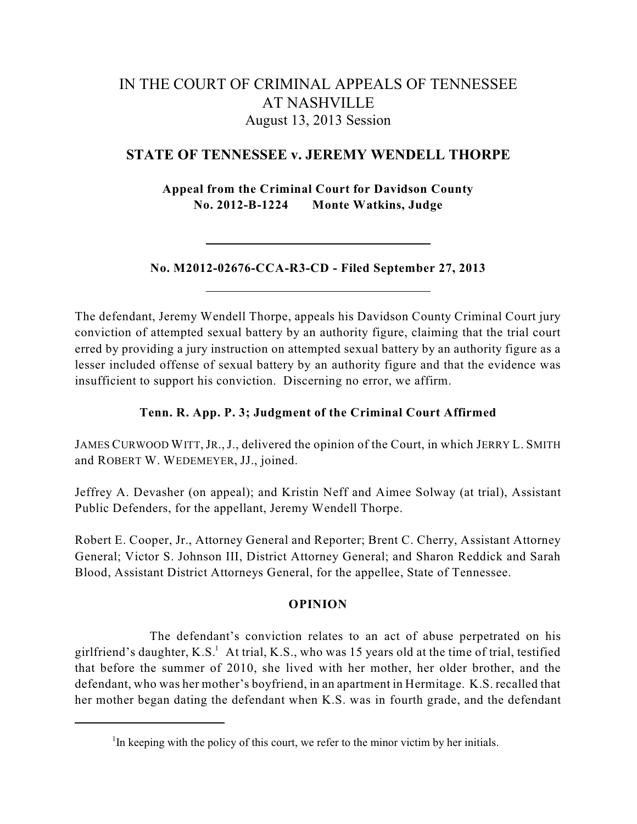# IN THE COURT OF CRIMINAL APPEALS OF TENNESSEE AT NASHVILLE August 13, 2013 Session

# **STATE OF TENNESSEE v. JEREMY WENDELL THORPE**

**Appeal from the Criminal Court for Davidson County No. 2012-B-1224 Monte Watkins, Judge**

**No. M2012-02676-CCA-R3-CD - Filed September 27, 2013**

The defendant, Jeremy Wendell Thorpe, appeals his Davidson County Criminal Court jury conviction of attempted sexual battery by an authority figure, claiming that the trial court erred by providing a jury instruction on attempted sexual battery by an authority figure as a lesser included offense of sexual battery by an authority figure and that the evidence was insufficient to support his conviction. Discerning no error, we affirm.

## **Tenn. R. App. P. 3; Judgment of the Criminal Court Affirmed**

JAMES CURWOOD WITT,JR.,J., delivered the opinion of the Court, in which JERRY L. SMITH and ROBERT W. WEDEMEYER, JJ., joined.

Jeffrey A. Devasher (on appeal); and Kristin Neff and Aimee Solway (at trial), Assistant Public Defenders, for the appellant, Jeremy Wendell Thorpe.

Robert E. Cooper, Jr., Attorney General and Reporter; Brent C. Cherry, Assistant Attorney General; Victor S. Johnson III, District Attorney General; and Sharon Reddick and Sarah Blood, Assistant District Attorneys General, for the appellee, State of Tennessee.

## **OPINION**

The defendant's conviction relates to an act of abuse perpetrated on his girlfriend's daughter, K.S. At trial, K.S., who was 15 years old at the time of trial, testified that before the summer of 2010, she lived with her mother, her older brother, and the defendant, who was her mother's boyfriend, in an apartment in Hermitage. K.S. recalled that her mother began dating the defendant when K.S. was in fourth grade, and the defendant

 $\rm{^{1}In}$  keeping with the policy of this court, we refer to the minor victim by her initials.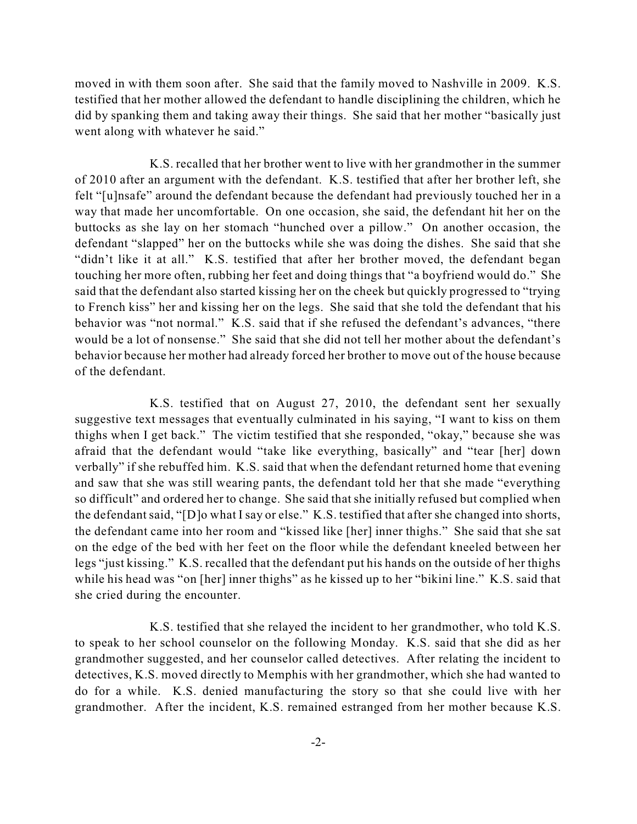moved in with them soon after. She said that the family moved to Nashville in 2009. K.S. testified that her mother allowed the defendant to handle disciplining the children, which he did by spanking them and taking away their things. She said that her mother "basically just went along with whatever he said."

K.S. recalled that her brother went to live with her grandmother in the summer of 2010 after an argument with the defendant. K.S. testified that after her brother left, she felt "[u]nsafe" around the defendant because the defendant had previously touched her in a way that made her uncomfortable. On one occasion, she said, the defendant hit her on the buttocks as she lay on her stomach "hunched over a pillow." On another occasion, the defendant "slapped" her on the buttocks while she was doing the dishes. She said that she "didn't like it at all." K.S. testified that after her brother moved, the defendant began touching her more often, rubbing her feet and doing things that "a boyfriend would do." She said that the defendant also started kissing her on the cheek but quickly progressed to "trying to French kiss" her and kissing her on the legs. She said that she told the defendant that his behavior was "not normal." K.S. said that if she refused the defendant's advances, "there would be a lot of nonsense." She said that she did not tell her mother about the defendant's behavior because her mother had already forced her brother to move out of the house because of the defendant.

K.S. testified that on August 27, 2010, the defendant sent her sexually suggestive text messages that eventually culminated in his saying, "I want to kiss on them thighs when I get back." The victim testified that she responded, "okay," because she was afraid that the defendant would "take like everything, basically" and "tear [her] down verbally" if she rebuffed him. K.S. said that when the defendant returned home that evening and saw that she was still wearing pants, the defendant told her that she made "everything so difficult" and ordered her to change. She said that she initially refused but complied when the defendant said, "[D]o what I say or else." K.S. testified that after she changed into shorts, the defendant came into her room and "kissed like [her] inner thighs." She said that she sat on the edge of the bed with her feet on the floor while the defendant kneeled between her legs "just kissing." K.S. recalled that the defendant put his hands on the outside of her thighs while his head was "on [her] inner thighs" as he kissed up to her "bikini line." K.S. said that she cried during the encounter.

K.S. testified that she relayed the incident to her grandmother, who told K.S. to speak to her school counselor on the following Monday. K.S. said that she did as her grandmother suggested, and her counselor called detectives. After relating the incident to detectives, K.S. moved directly to Memphis with her grandmother, which she had wanted to do for a while. K.S. denied manufacturing the story so that she could live with her grandmother. After the incident, K.S. remained estranged from her mother because K.S.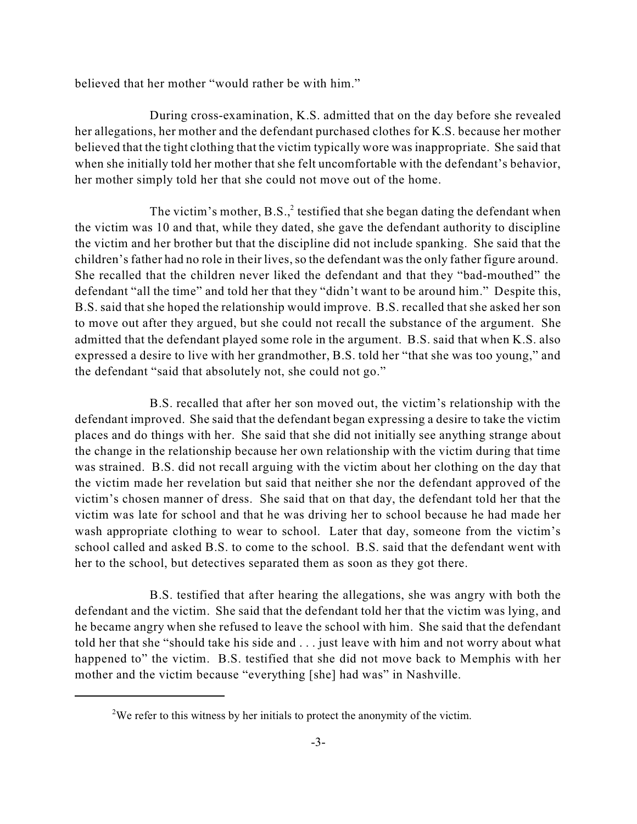believed that her mother "would rather be with him."

During cross-examination, K.S. admitted that on the day before she revealed her allegations, her mother and the defendant purchased clothes for K.S. because her mother believed that the tight clothing that the victim typically wore was inappropriate. She said that when she initially told her mother that she felt uncomfortable with the defendant's behavior, her mother simply told her that she could not move out of the home.

The victim's mother, B.S., $^2$  testified that she began dating the defendant when the victim was 10 and that, while they dated, she gave the defendant authority to discipline the victim and her brother but that the discipline did not include spanking. She said that the children's father had no role in their lives, so the defendant was the only father figure around. She recalled that the children never liked the defendant and that they "bad-mouthed" the defendant "all the time" and told her that they "didn't want to be around him." Despite this, B.S. said that she hoped the relationship would improve. B.S. recalled that she asked her son to move out after they argued, but she could not recall the substance of the argument. She admitted that the defendant played some role in the argument. B.S. said that when K.S. also expressed a desire to live with her grandmother, B.S. told her "that she was too young," and the defendant "said that absolutely not, she could not go."

B.S. recalled that after her son moved out, the victim's relationship with the defendant improved. She said that the defendant began expressing a desire to take the victim places and do things with her. She said that she did not initially see anything strange about the change in the relationship because her own relationship with the victim during that time was strained. B.S. did not recall arguing with the victim about her clothing on the day that the victim made her revelation but said that neither she nor the defendant approved of the victim's chosen manner of dress. She said that on that day, the defendant told her that the victim was late for school and that he was driving her to school because he had made her wash appropriate clothing to wear to school. Later that day, someone from the victim's school called and asked B.S. to come to the school. B.S. said that the defendant went with her to the school, but detectives separated them as soon as they got there.

B.S. testified that after hearing the allegations, she was angry with both the defendant and the victim. She said that the defendant told her that the victim was lying, and he became angry when she refused to leave the school with him. She said that the defendant told her that she "should take his side and . . . just leave with him and not worry about what happened to" the victim. B.S. testified that she did not move back to Memphis with her mother and the victim because "everything [she] had was" in Nashville.

<sup>&</sup>lt;sup>2</sup>We refer to this witness by her initials to protect the anonymity of the victim.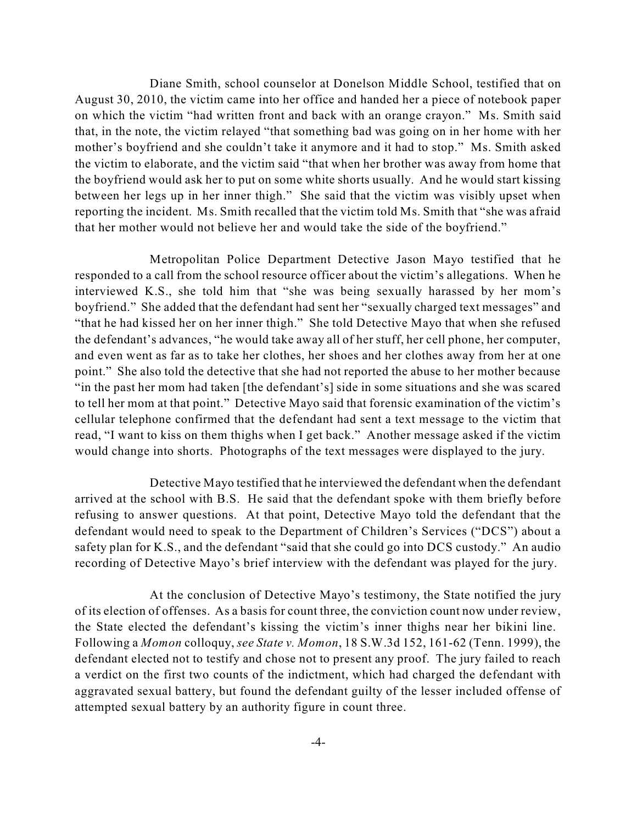Diane Smith, school counselor at Donelson Middle School, testified that on August 30, 2010, the victim came into her office and handed her a piece of notebook paper on which the victim "had written front and back with an orange crayon." Ms. Smith said that, in the note, the victim relayed "that something bad was going on in her home with her mother's boyfriend and she couldn't take it anymore and it had to stop." Ms. Smith asked the victim to elaborate, and the victim said "that when her brother was away from home that the boyfriend would ask her to put on some white shorts usually. And he would start kissing between her legs up in her inner thigh." She said that the victim was visibly upset when reporting the incident. Ms. Smith recalled that the victim told Ms. Smith that "she was afraid that her mother would not believe her and would take the side of the boyfriend."

Metropolitan Police Department Detective Jason Mayo testified that he responded to a call from the school resource officer about the victim's allegations. When he interviewed K.S., she told him that "she was being sexually harassed by her mom's boyfriend." She added that the defendant had sent her "sexually charged text messages" and "that he had kissed her on her inner thigh." She told Detective Mayo that when she refused the defendant's advances, "he would take away all of her stuff, her cell phone, her computer, and even went as far as to take her clothes, her shoes and her clothes away from her at one point." She also told the detective that she had not reported the abuse to her mother because "in the past her mom had taken [the defendant's] side in some situations and she was scared to tell her mom at that point." Detective Mayo said that forensic examination of the victim's cellular telephone confirmed that the defendant had sent a text message to the victim that read, "I want to kiss on them thighs when I get back." Another message asked if the victim would change into shorts. Photographs of the text messages were displayed to the jury.

Detective Mayo testified that he interviewed the defendant when the defendant arrived at the school with B.S. He said that the defendant spoke with them briefly before refusing to answer questions. At that point, Detective Mayo told the defendant that the defendant would need to speak to the Department of Children's Services ("DCS") about a safety plan for K.S., and the defendant "said that she could go into DCS custody." An audio recording of Detective Mayo's brief interview with the defendant was played for the jury.

At the conclusion of Detective Mayo's testimony, the State notified the jury of its election of offenses. As a basis for count three, the conviction count now under review, the State elected the defendant's kissing the victim's inner thighs near her bikini line. Following a *Momon* colloquy, *see State v. Momon*, 18 S.W.3d 152, 161-62 (Tenn. 1999), the defendant elected not to testify and chose not to present any proof. The jury failed to reach a verdict on the first two counts of the indictment, which had charged the defendant with aggravated sexual battery, but found the defendant guilty of the lesser included offense of attempted sexual battery by an authority figure in count three.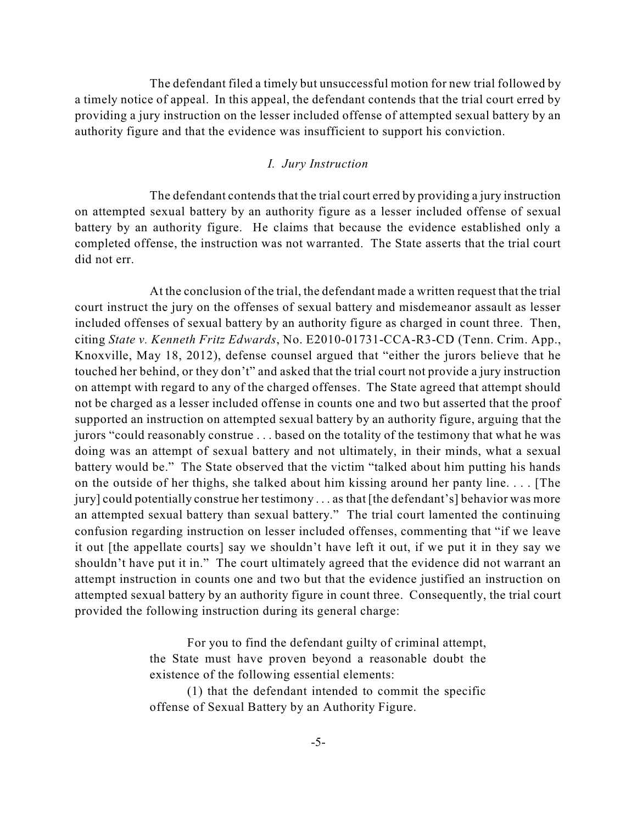The defendant filed a timely but unsuccessful motion for new trial followed by a timely notice of appeal. In this appeal, the defendant contends that the trial court erred by providing a jury instruction on the lesser included offense of attempted sexual battery by an authority figure and that the evidence was insufficient to support his conviction.

#### *I. Jury Instruction*

The defendant contends that the trial court erred by providing a jury instruction on attempted sexual battery by an authority figure as a lesser included offense of sexual battery by an authority figure. He claims that because the evidence established only a completed offense, the instruction was not warranted. The State asserts that the trial court did not err.

At the conclusion of the trial, the defendant made a written request that the trial court instruct the jury on the offenses of sexual battery and misdemeanor assault as lesser included offenses of sexual battery by an authority figure as charged in count three. Then, citing *State v. Kenneth Fritz Edwards*, No. E2010-01731-CCA-R3-CD (Tenn. Crim. App., Knoxville, May 18, 2012), defense counsel argued that "either the jurors believe that he touched her behind, or they don't" and asked that the trial court not provide a jury instruction on attempt with regard to any of the charged offenses. The State agreed that attempt should not be charged as a lesser included offense in counts one and two but asserted that the proof supported an instruction on attempted sexual battery by an authority figure, arguing that the jurors "could reasonably construe . . . based on the totality of the testimony that what he was doing was an attempt of sexual battery and not ultimately, in their minds, what a sexual battery would be." The State observed that the victim "talked about him putting his hands on the outside of her thighs, she talked about him kissing around her panty line. . . . [The jury] could potentially construe her testimony . . . as that [the defendant's] behavior was more an attempted sexual battery than sexual battery." The trial court lamented the continuing confusion regarding instruction on lesser included offenses, commenting that "if we leave it out [the appellate courts] say we shouldn't have left it out, if we put it in they say we shouldn't have put it in." The court ultimately agreed that the evidence did not warrant an attempt instruction in counts one and two but that the evidence justified an instruction on attempted sexual battery by an authority figure in count three. Consequently, the trial court provided the following instruction during its general charge:

> For you to find the defendant guilty of criminal attempt, the State must have proven beyond a reasonable doubt the existence of the following essential elements:

> (1) that the defendant intended to commit the specific offense of Sexual Battery by an Authority Figure.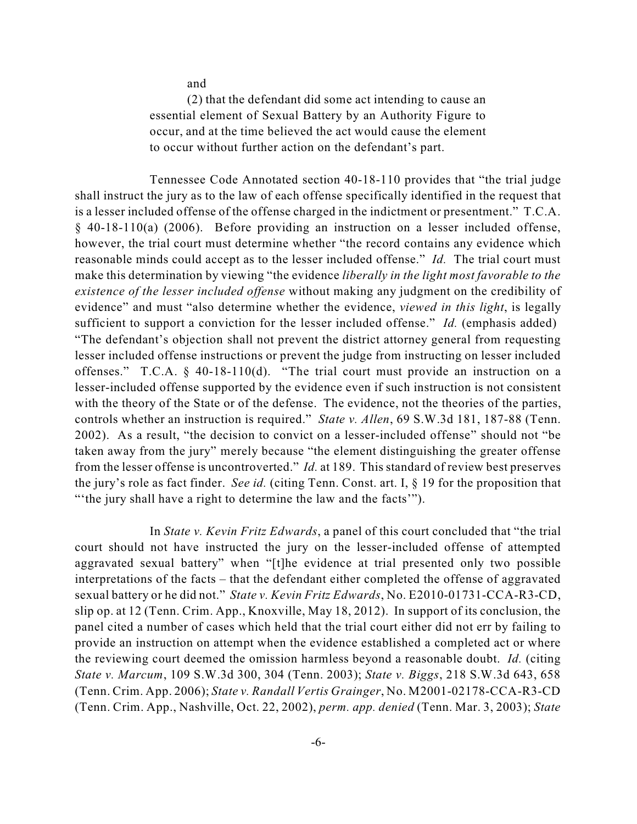and

(2) that the defendant did some act intending to cause an essential element of Sexual Battery by an Authority Figure to occur, and at the time believed the act would cause the element to occur without further action on the defendant's part.

Tennessee Code Annotated section 40-18-110 provides that "the trial judge shall instruct the jury as to the law of each offense specifically identified in the request that is a lesser included offense of the offense charged in the indictment or presentment." T.C.A. § 40-18-110(a) (2006). Before providing an instruction on a lesser included offense, however, the trial court must determine whether "the record contains any evidence which reasonable minds could accept as to the lesser included offense." *Id.* The trial court must make this determination by viewing "the evidence *liberally in the light most favorable to the existence of the lesser included offense* without making any judgment on the credibility of evidence" and must "also determine whether the evidence, *viewed in this light*, is legally sufficient to support a conviction for the lesser included offense." *Id.* (emphasis added) "The defendant's objection shall not prevent the district attorney general from requesting lesser included offense instructions or prevent the judge from instructing on lesser included offenses." T.C.A. § 40-18-110(d). "The trial court must provide an instruction on a lesser-included offense supported by the evidence even if such instruction is not consistent with the theory of the State or of the defense. The evidence, not the theories of the parties, controls whether an instruction is required." *State v. Allen*, 69 S.W.3d 181, 187-88 (Tenn. 2002). As a result, "the decision to convict on a lesser-included offense" should not "be taken away from the jury" merely because "the element distinguishing the greater offense from the lesser offense is uncontroverted." *Id.* at 189. This standard of review best preserves the jury's role as fact finder. *See id.* (citing Tenn. Const. art. I, § 19 for the proposition that "'the jury shall have a right to determine the law and the facts'").

In *State v. Kevin Fritz Edwards*, a panel of this court concluded that "the trial court should not have instructed the jury on the lesser-included offense of attempted aggravated sexual battery" when "[t]he evidence at trial presented only two possible interpretations of the facts – that the defendant either completed the offense of aggravated sexual battery or he did not." *State v. Kevin Fritz Edwards*, No. E2010-01731-CCA-R3-CD, slip op. at 12 (Tenn. Crim. App., Knoxville, May 18, 2012). In support of its conclusion, the panel cited a number of cases which held that the trial court either did not err by failing to provide an instruction on attempt when the evidence established a completed act or where the reviewing court deemed the omission harmless beyond a reasonable doubt. *Id.* (citing *State v. Marcum*, 109 S.W.3d 300, 304 (Tenn. 2003); *State v. Biggs*, 218 S.W.3d 643, 658 (Tenn. Crim. App. 2006); *State v. Randall Vertis Grainger*, No. M2001-02178-CCA-R3-CD (Tenn. Crim. App., Nashville, Oct. 22, 2002), *perm. app. denied* (Tenn. Mar. 3, 2003); *State*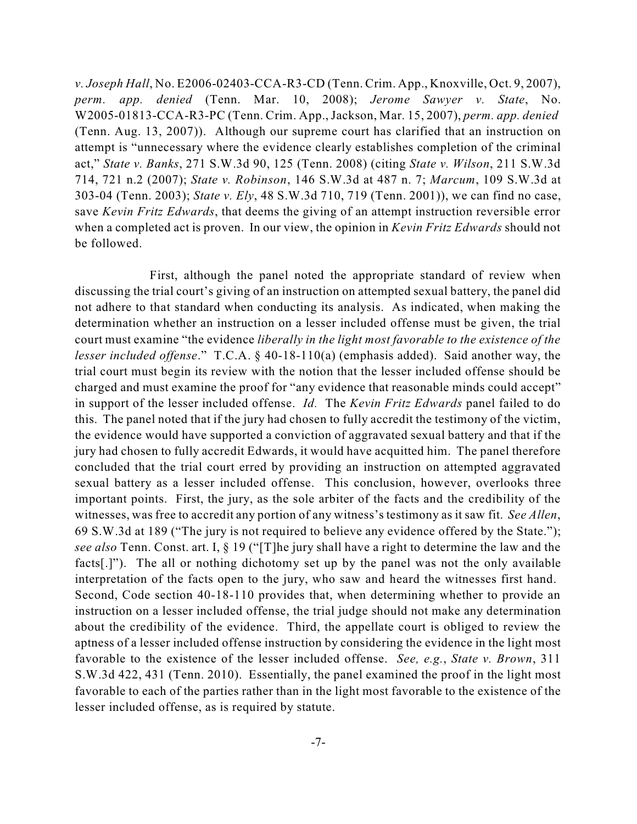*v. Joseph Hall*, No. E2006-02403-CCA-R3-CD (Tenn. Crim. App., Knoxville, Oct. 9, 2007), *perm. app. denied* (Tenn. Mar. 10, 2008); *Jerome Sawyer v. State*, No. W2005-01813-CCA-R3-PC (Tenn. Crim. App., Jackson, Mar. 15, 2007), *perm. app. denied* (Tenn. Aug. 13, 2007)). Although our supreme court has clarified that an instruction on attempt is "unnecessary where the evidence clearly establishes completion of the criminal act," *State v. Banks*, 271 S.W.3d 90, 125 (Tenn. 2008) (citing *State v. Wilson*, 211 S.W.3d 714, 721 n.2 (2007); *State v. Robinson*, 146 S.W.3d at 487 n. 7; *Marcum*, 109 S.W.3d at 303-04 (Tenn. 2003); *State v. Ely*, 48 S.W.3d 710, 719 (Tenn. 2001)), we can find no case, save *Kevin Fritz Edwards*, that deems the giving of an attempt instruction reversible error when a completed act is proven. In our view, the opinion in *Kevin Fritz Edwards* should not be followed.

First, although the panel noted the appropriate standard of review when discussing the trial court's giving of an instruction on attempted sexual battery, the panel did not adhere to that standard when conducting its analysis. As indicated, when making the determination whether an instruction on a lesser included offense must be given, the trial court must examine "the evidence *liberally in the light most favorable to the existence of the lesser included offense*." T.C.A. § 40-18-110(a) (emphasis added). Said another way, the trial court must begin its review with the notion that the lesser included offense should be charged and must examine the proof for "any evidence that reasonable minds could accept" in support of the lesser included offense. *Id.* The *Kevin Fritz Edwards* panel failed to do this. The panel noted that if the jury had chosen to fully accredit the testimony of the victim, the evidence would have supported a conviction of aggravated sexual battery and that if the jury had chosen to fully accredit Edwards, it would have acquitted him. The panel therefore concluded that the trial court erred by providing an instruction on attempted aggravated sexual battery as a lesser included offense. This conclusion, however, overlooks three important points. First, the jury, as the sole arbiter of the facts and the credibility of the witnesses, was free to accredit any portion of any witness's testimony as it saw fit. *See Allen*, 69 S.W.3d at 189 ("The jury is not required to believe any evidence offered by the State."); *see also* Tenn. Const. art. I, § 19 ("[T]he jury shall have a right to determine the law and the facts[.]"). The all or nothing dichotomy set up by the panel was not the only available interpretation of the facts open to the jury, who saw and heard the witnesses first hand. Second, Code section 40-18-110 provides that, when determining whether to provide an instruction on a lesser included offense, the trial judge should not make any determination about the credibility of the evidence. Third, the appellate court is obliged to review the aptness of a lesser included offense instruction by considering the evidence in the light most favorable to the existence of the lesser included offense. *See, e.g.*, *State v. Brown*, 311 S.W.3d 422, 431 (Tenn. 2010). Essentially, the panel examined the proof in the light most favorable to each of the parties rather than in the light most favorable to the existence of the lesser included offense, as is required by statute.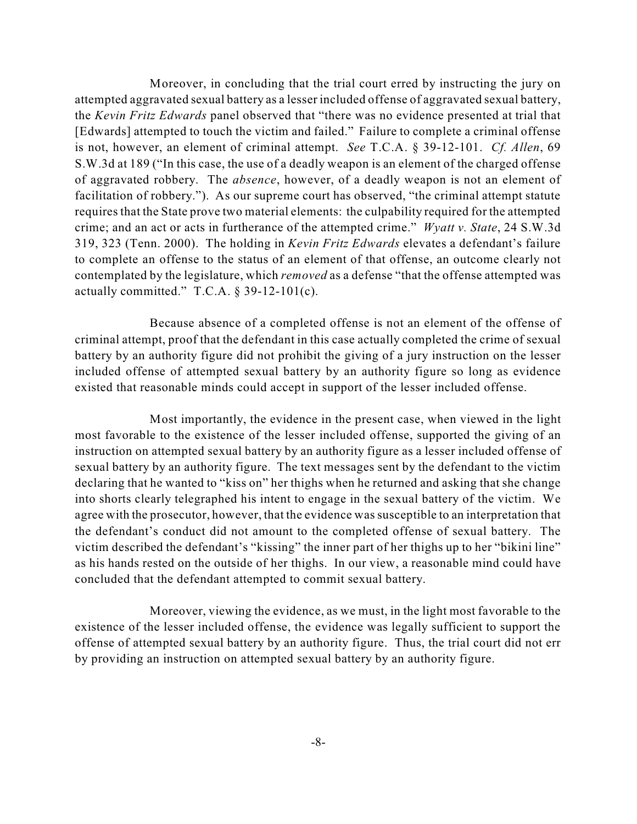Moreover, in concluding that the trial court erred by instructing the jury on attempted aggravated sexual battery as a lesser included offense of aggravated sexual battery, the *Kevin Fritz Edwards* panel observed that "there was no evidence presented at trial that [Edwards] attempted to touch the victim and failed." Failure to complete a criminal offense is not, however, an element of criminal attempt. *See* T.C.A. § 39-12-101. *Cf. Allen*, 69 S.W.3d at 189 ("In this case, the use of a deadly weapon is an element of the charged offense of aggravated robbery. The *absence*, however, of a deadly weapon is not an element of facilitation of robbery."). As our supreme court has observed, "the criminal attempt statute requires that the State prove two material elements: the culpability required for the attempted crime; and an act or acts in furtherance of the attempted crime." *Wyatt v. State*, 24 S.W.3d 319, 323 (Tenn. 2000). The holding in *Kevin Fritz Edwards* elevates a defendant's failure to complete an offense to the status of an element of that offense, an outcome clearly not contemplated by the legislature, which *removed* as a defense "that the offense attempted was actually committed." T.C.A.  $\S$  39-12-101(c).

Because absence of a completed offense is not an element of the offense of criminal attempt, proof that the defendant in this case actually completed the crime of sexual battery by an authority figure did not prohibit the giving of a jury instruction on the lesser included offense of attempted sexual battery by an authority figure so long as evidence existed that reasonable minds could accept in support of the lesser included offense.

Most importantly, the evidence in the present case, when viewed in the light most favorable to the existence of the lesser included offense, supported the giving of an instruction on attempted sexual battery by an authority figure as a lesser included offense of sexual battery by an authority figure. The text messages sent by the defendant to the victim declaring that he wanted to "kiss on" her thighs when he returned and asking that she change into shorts clearly telegraphed his intent to engage in the sexual battery of the victim. We agree with the prosecutor, however, that the evidence was susceptible to an interpretation that the defendant's conduct did not amount to the completed offense of sexual battery. The victim described the defendant's "kissing" the inner part of her thighs up to her "bikini line" as his hands rested on the outside of her thighs. In our view, a reasonable mind could have concluded that the defendant attempted to commit sexual battery.

Moreover, viewing the evidence, as we must, in the light most favorable to the existence of the lesser included offense, the evidence was legally sufficient to support the offense of attempted sexual battery by an authority figure. Thus, the trial court did not err by providing an instruction on attempted sexual battery by an authority figure.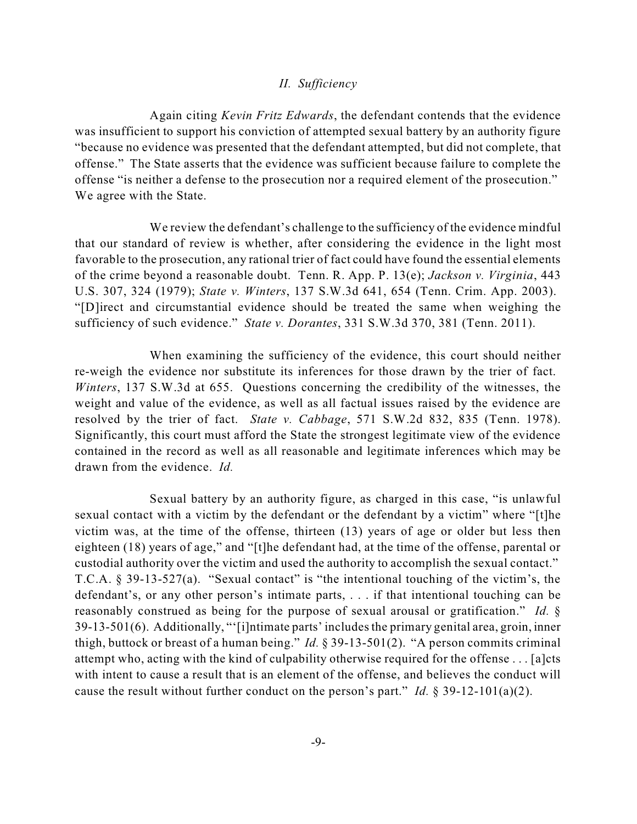### *II. Sufficiency*

Again citing *Kevin Fritz Edwards*, the defendant contends that the evidence was insufficient to support his conviction of attempted sexual battery by an authority figure "because no evidence was presented that the defendant attempted, but did not complete, that offense." The State asserts that the evidence was sufficient because failure to complete the offense "is neither a defense to the prosecution nor a required element of the prosecution." We agree with the State.

We review the defendant's challenge to the sufficiency of the evidence mindful that our standard of review is whether, after considering the evidence in the light most favorable to the prosecution, any rational trier of fact could have found the essential elements of the crime beyond a reasonable doubt. Tenn. R. App. P. 13(e); *Jackson v. Virginia*, 443 U.S. 307, 324 (1979); *State v. Winters*, 137 S.W.3d 641, 654 (Tenn. Crim. App. 2003). "[D]irect and circumstantial evidence should be treated the same when weighing the sufficiency of such evidence." *State v. Dorantes*, 331 S.W.3d 370, 381 (Tenn. 2011).

When examining the sufficiency of the evidence, this court should neither re-weigh the evidence nor substitute its inferences for those drawn by the trier of fact. *Winters*, 137 S.W.3d at 655. Questions concerning the credibility of the witnesses, the weight and value of the evidence, as well as all factual issues raised by the evidence are resolved by the trier of fact. *State v. Cabbage*, 571 S.W.2d 832, 835 (Tenn. 1978). Significantly, this court must afford the State the strongest legitimate view of the evidence contained in the record as well as all reasonable and legitimate inferences which may be drawn from the evidence. *Id.*

Sexual battery by an authority figure, as charged in this case, "is unlawful sexual contact with a victim by the defendant or the defendant by a victim" where "[t]he victim was, at the time of the offense, thirteen (13) years of age or older but less then eighteen (18) years of age," and "[t]he defendant had, at the time of the offense, parental or custodial authority over the victim and used the authority to accomplish the sexual contact." T.C.A. § 39-13-527(a). "Sexual contact" is "the intentional touching of the victim's, the defendant's, or any other person's intimate parts, . . . if that intentional touching can be reasonably construed as being for the purpose of sexual arousal or gratification." *Id.* § 39-13-501(6). Additionally, "'[i]ntimate parts' includesthe primary genital area, groin, inner thigh, buttock or breast of a human being." *Id.* § 39-13-501(2). "A person commits criminal attempt who, acting with the kind of culpability otherwise required for the offense . . . [a]cts with intent to cause a result that is an element of the offense, and believes the conduct will cause the result without further conduct on the person's part." *Id.* § 39-12-101(a)(2).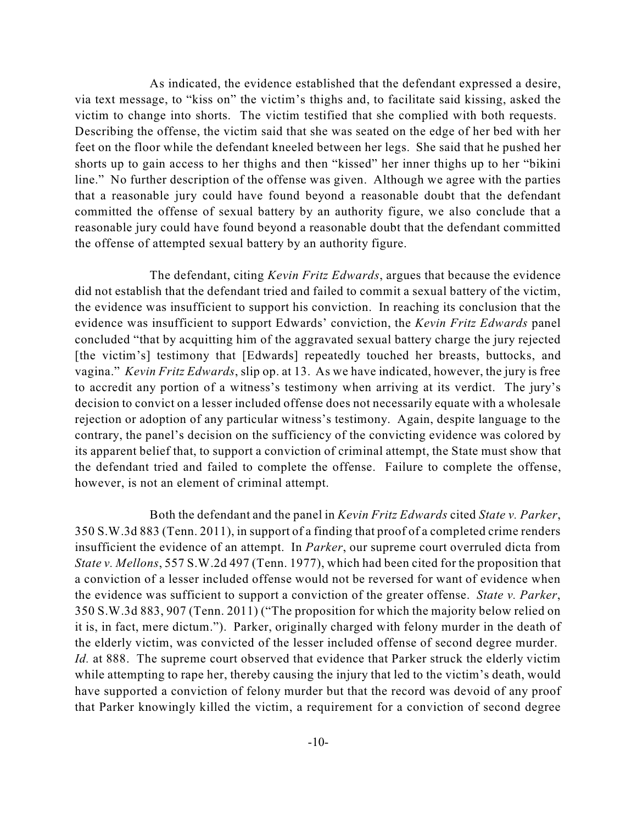As indicated, the evidence established that the defendant expressed a desire, via text message, to "kiss on" the victim's thighs and, to facilitate said kissing, asked the victim to change into shorts. The victim testified that she complied with both requests. Describing the offense, the victim said that she was seated on the edge of her bed with her feet on the floor while the defendant kneeled between her legs. She said that he pushed her shorts up to gain access to her thighs and then "kissed" her inner thighs up to her "bikini line." No further description of the offense was given. Although we agree with the parties that a reasonable jury could have found beyond a reasonable doubt that the defendant committed the offense of sexual battery by an authority figure, we also conclude that a reasonable jury could have found beyond a reasonable doubt that the defendant committed the offense of attempted sexual battery by an authority figure.

The defendant, citing *Kevin Fritz Edwards*, argues that because the evidence did not establish that the defendant tried and failed to commit a sexual battery of the victim, the evidence was insufficient to support his conviction. In reaching its conclusion that the evidence was insufficient to support Edwards' conviction, the *Kevin Fritz Edwards* panel concluded "that by acquitting him of the aggravated sexual battery charge the jury rejected [the victim's] testimony that [Edwards] repeatedly touched her breasts, buttocks, and vagina." *Kevin Fritz Edwards*, slip op. at 13. As we have indicated, however, the jury is free to accredit any portion of a witness's testimony when arriving at its verdict. The jury's decision to convict on a lesser included offense does not necessarily equate with a wholesale rejection or adoption of any particular witness's testimony. Again, despite language to the contrary, the panel's decision on the sufficiency of the convicting evidence was colored by its apparent belief that, to support a conviction of criminal attempt, the State must show that the defendant tried and failed to complete the offense. Failure to complete the offense, however, is not an element of criminal attempt.

Both the defendant and the panel in *Kevin Fritz Edwards* cited *State v. Parker*, 350 S.W.3d 883 (Tenn. 2011), in support of a finding that proof of a completed crime renders insufficient the evidence of an attempt. In *Parker*, our supreme court overruled dicta from *State v. Mellons*, 557 S.W.2d 497 (Tenn. 1977), which had been cited for the proposition that a conviction of a lesser included offense would not be reversed for want of evidence when the evidence was sufficient to support a conviction of the greater offense. *State v. Parker*, 350 S.W.3d 883, 907 (Tenn. 2011) ("The proposition for which the majority below relied on it is, in fact, mere dictum."). Parker, originally charged with felony murder in the death of the elderly victim, was convicted of the lesser included offense of second degree murder. *Id.* at 888. The supreme court observed that evidence that Parker struck the elderly victim while attempting to rape her, thereby causing the injury that led to the victim's death, would have supported a conviction of felony murder but that the record was devoid of any proof that Parker knowingly killed the victim, a requirement for a conviction of second degree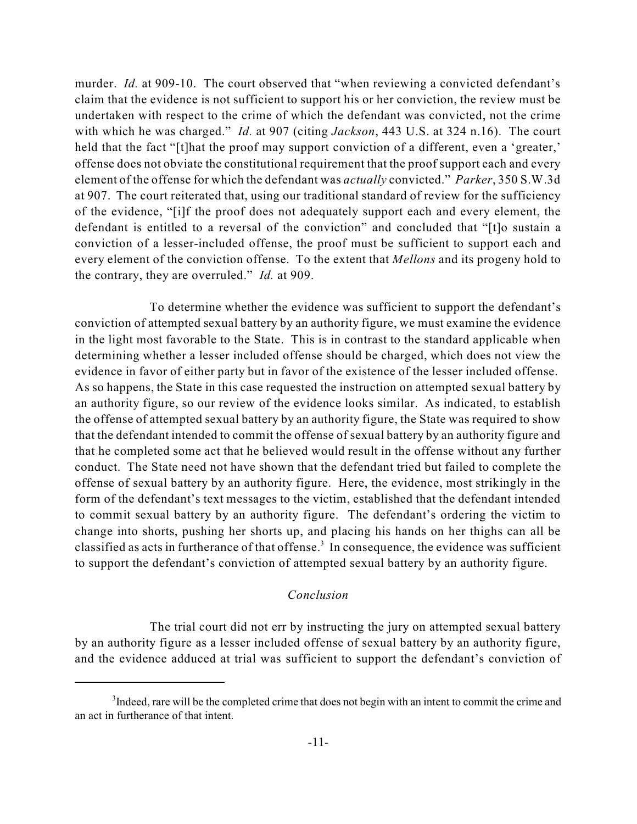murder. *Id.* at 909-10. The court observed that "when reviewing a convicted defendant's claim that the evidence is not sufficient to support his or her conviction, the review must be undertaken with respect to the crime of which the defendant was convicted, not the crime with which he was charged." *Id.* at 907 (citing *Jackson*, 443 U.S. at 324 n.16). The court held that the fact "[t]hat the proof may support conviction of a different, even a 'greater,' offense does not obviate the constitutional requirement that the proof support each and every element of the offense for which the defendant was *actually* convicted." *Parker*, 350 S.W.3d at 907. The court reiterated that, using our traditional standard of review for the sufficiency of the evidence, "[i]f the proof does not adequately support each and every element, the defendant is entitled to a reversal of the conviction" and concluded that "[t]o sustain a conviction of a lesser-included offense, the proof must be sufficient to support each and every element of the conviction offense. To the extent that *Mellons* and its progeny hold to the contrary, they are overruled." *Id.* at 909.

To determine whether the evidence was sufficient to support the defendant's conviction of attempted sexual battery by an authority figure, we must examine the evidence in the light most favorable to the State. This is in contrast to the standard applicable when determining whether a lesser included offense should be charged, which does not view the evidence in favor of either party but in favor of the existence of the lesser included offense. As so happens, the State in this case requested the instruction on attempted sexual battery by an authority figure, so our review of the evidence looks similar. As indicated, to establish the offense of attempted sexual battery by an authority figure, the State was required to show that the defendant intended to commit the offense of sexual battery by an authority figure and that he completed some act that he believed would result in the offense without any further conduct. The State need not have shown that the defendant tried but failed to complete the offense of sexual battery by an authority figure. Here, the evidence, most strikingly in the form of the defendant's text messages to the victim, established that the defendant intended to commit sexual battery by an authority figure. The defendant's ordering the victim to change into shorts, pushing her shorts up, and placing his hands on her thighs can all be classified as acts in furtherance of that offense.<sup>3</sup> In consequence, the evidence was sufficient to support the defendant's conviction of attempted sexual battery by an authority figure.

## *Conclusion*

The trial court did not err by instructing the jury on attempted sexual battery by an authority figure as a lesser included offense of sexual battery by an authority figure, and the evidence adduced at trial was sufficient to support the defendant's conviction of

<sup>&</sup>lt;sup>3</sup>Indeed, rare will be the completed crime that does not begin with an intent to commit the crime and an act in furtherance of that intent.